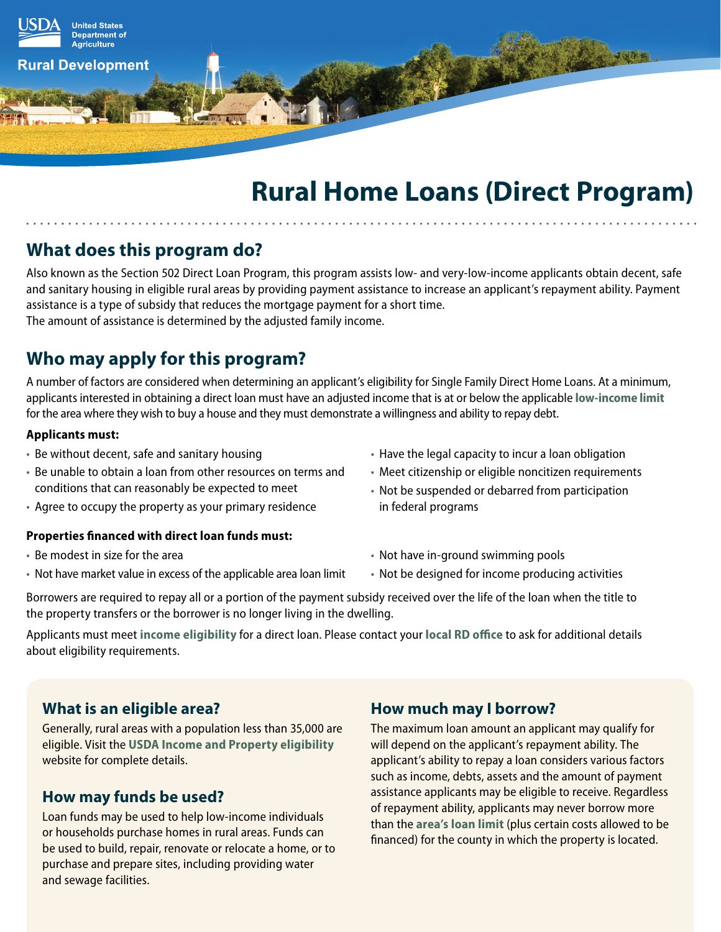

# **Rural Home Loans (Direct Program)**

# **What does this program do?**

Also known as the Section 502 Direct Loan Program, this program assists low- and very-low-income applicants obtain decent, safe and sanitary housing in eligible rural areas by providing payment assistance to increase an applicant's repayment ability. Payment assistance is a type of subsidy that reduces the mortgage payment for a short time. The amount of assistance is determined by the adjusted family income.

# **Who may apply for this program?**

A number of factors are considered when determining an applicant's eligibility for Single Family Direct Home Loans. At a minimum, applicants interested in obtaining a direct loan must have an adjusted income that is at or below the applicable **[low-income limit](http://www.rd.usda.gov/files/RD-DirectLimitMap.pdf)** for the area where they wish to buy a house and they must demonstrate a willingness and ability to repay debt.

#### **Applicants must:**

- Be without decent, safe and sanitary housing
- Be unable to obtain a loan from other resources on terms and conditions that can reasonably be expected to meet
- Agree to occupy the property as your primary residence

#### **Properties financed with direct loan funds must:**

- Be modest in size for the area
- Not have market value in excess of the applicable area loan limit
- Have the legal capacity to incur a loan obligation
- Meet citizenship or eligible noncitizen requirements
- Not be suspended or debarred from participation in federal programs
- Not have in-ground swimming pools
- Not be designed for income producing activities

Borrowers are required to repay all or a portion of the payment subsidy received over the life of the loan when the title to the property transfers or the borrower is no longer living in the dwelling.

Applicants must meet **[income eligibility](http://eligibility.sc.egov.usda.gov/eligibility/welcomeAction.do?NavKey=home@1)** for a direct loan. Please contact your **[local RD office](http://www.rd.usda.gov/browse-state)** to ask for additional details about eligibility requirements.

# **What is an eligible area?**

Generally, rural areas with a population less than 35,000 are eligible. Visit the **[USDA Income and Property eligibility](http://eligibility.sc.egov.usda.gov/eligibility/welcomeAction.do)**  website for complete details.

# **How may funds be used?**

Loan funds may be used to help low-income individuals or households purchase homes in rural areas. Funds can be used to build, repair, renovate or relocate a home, or to purchase and prepare sites, including providing water and sewage facilities.

# **How much may I borrow?**

The maximum loan amount an applicant may qualify for will depend on the applicant's repayment ability. The applicant's ability to repay a loan considers various factors such as income, debts, assets and the amount of payment assistance applicants may be eligible to receive. Regardless of repayment ability, applicants may never borrow more than the **[area's loan limit](http://www.rd.usda.gov/files/RD-SFHAreaLoanLimitMap_0.pdf)** (plus certain costs allowed to be financed) for the county in which the property is located.